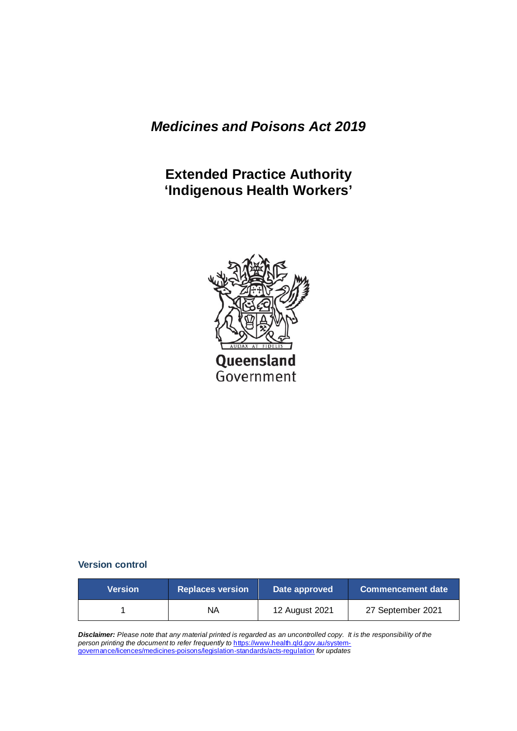# *Medicines and Poisons Act 2019*

**Extended Practice Authority 'Indigenous Health Workers'**



#### **Version control**

| <b>Nersion</b> | Replaces version | Date approved  | <b>Commencement date</b> |
|----------------|------------------|----------------|--------------------------|
|                | NA               | 12 August 2021 | 27 September 2021        |

*Disclaimer: Please note that any material printed is regarded as an uncontrolled copy. It is the responsibility of the person printing the document to refer frequently to* [https://www.health.qld.gov.au/system](https://www.health.qld.gov.au/system-governance/licences/medicines-poisons/legislation-standards/acts-regulation)[governance/licences/medicines-poisons/legislation-standards/acts-regulation](https://www.health.qld.gov.au/system-governance/licences/medicines-poisons/legislation-standards/acts-regulation) *for updates*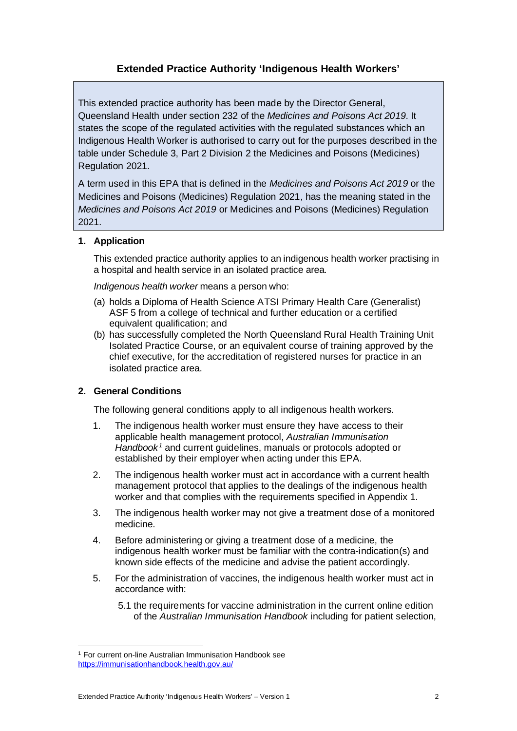## **Extended Practice Authority 'Indigenous Health Workers'**

This extended practice authority has been made by the Director General, Queensland Health under section 232 of the *Medicines and Poisons Act 2019*. It states the scope of the regulated activities with the regulated substances which an Indigenous Health Worker is authorised to carry out for the purposes described in the table under Schedule 3, Part 2 Division 2 the Medicines and Poisons (Medicines) Regulation 2021.

A term used in this EPA that is defined in the *Medicines and Poisons Act 2019* or the Medicines and Poisons (Medicines) Regulation 2021, has the meaning stated in the *Medicines and Poisons Act 2019* or Medicines and Poisons (Medicines) Regulation 2021.

### **1. Application**

This extended practice authority applies to an indigenous health worker practising in a hospital and health service in an isolated practice area.

*Indigenous health worker* means a person who:

- (a) holds a Diploma of Health Science ATSI Primary Health Care (Generalist) ASF 5 from a college of technical and further education or a certified equivalent qualification; and
- (b) has successfully completed the North Queensland Rural Health Training Unit Isolated Practice Course, or an equivalent course of training approved by the chief executive, for the accreditation of registered nurses for practice in an isolated practice area.

## **2. General Conditions**

The following general conditions apply to all indigenous health workers.

- 1. The indigenous health worker must ensure they have access to their applicable health management protocol, *Australian Immunisation Handbook [1](#page-1-0)* and current guidelines, manuals or protocols adopted or established by their employer when acting under this EPA.
- 2. The indigenous health worker must act in accordance with a current health management protocol that applies to the dealings of the indigenous health worker and that complies with the requirements specified in Appendix 1.
- 3. The indigenous health worker may not give a treatment dose of a monitored medicine.
- 4. Before administering or giving a treatment dose of a medicine, the indigenous health worker must be familiar with the contra-indication(s) and known side effects of the medicine and advise the patient accordingly.
- 5. For the administration of vaccines, the indigenous health worker must act in accordance with:
	- 5.1 the requirements for vaccine administration in the current online edition of the *Australian Immunisation Handbook* including for patient selection,

<span id="page-1-0"></span><sup>1</sup> For current on-line Australian Immunisation Handbook see <https://immunisationhandbook.health.gov.au/>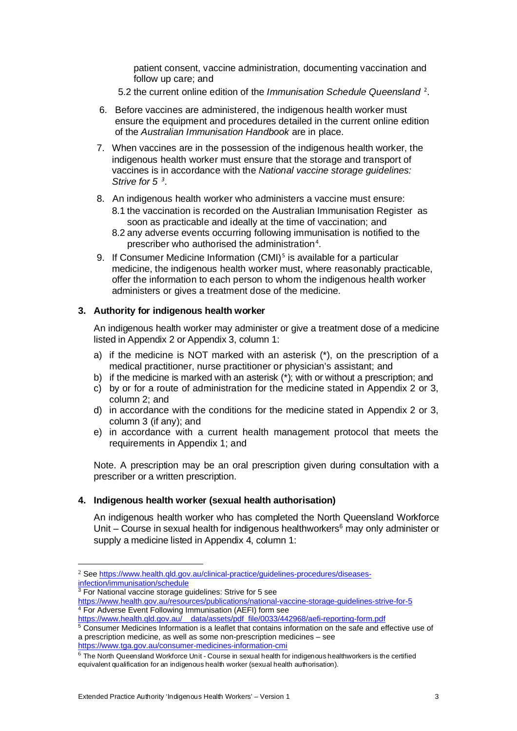patient consent, vaccine administration, documenting vaccination and follow up care; and

- 5.[2](#page-2-0) the current online edition of the Immunisation Schedule Queensland<sup>2</sup>.
- 6. Before vaccines are administered, the indigenous health worker must ensure the equipment and procedures detailed in the current online edition of the *Australian Immunisation Handbook* are in place.
- 7. When vaccines are in the possession of the indigenous health worker, the indigenous health worker must ensure that the storage and transport of vaccines is in accordance with the *National vaccine storage guidelines: Strive for 5 [3](#page-2-1)* .
- 8. An indigenous health worker who administers a vaccine must ensure:
	- 8.1 the vaccination is recorded on the [Australian Immunisation Register](https://www.servicesaustralia.gov.au/individuals/services/medicare/australian-immunisation-register) as soon as practicable and ideally at the time of vaccination; and
	- 8.2 any adverse events occurring following immunisation is notified to the prescriber who authorised the administration<sup>[4](#page-2-2)</sup>.
- 9. If [Consumer Medicine Information](https://www.tga.gov.au/consumer-medicines-information-cmi) (CMI)<sup>[5](#page-2-3)</sup> is available for a particular medicine, the indigenous health worker must, where reasonably practicable, offer the information to each person to whom the indigenous health worker administers or gives a treatment dose of the medicine.

#### **3. Authority for indigenous health worker**

An indigenous health worker may administer or give a treatment dose of a medicine listed in Appendix 2 or Appendix 3, column 1:

- a) if the medicine is NOT marked with an asterisk (\*), on the prescription of a medical practitioner, nurse practitioner or physician's assistant; and
- b) if the medicine is marked with an asterisk (\*); with or without a prescription; and
- c) by or for a route of administration for the medicine stated in Appendix 2 or 3, column 2; and
- d) in accordance with the conditions for the medicine stated in Appendix 2 or 3, column 3 (if any); and
- e) in accordance with a current health management protocol that meets the requirements in Appendix 1; and

Note. A prescription may be an oral prescription given during consultation with a prescriber or a written prescription.

### **4. Indigenous health worker (sexual health authorisation)**

An indigenous health worker who has completed the North Queensland Workforce Unit – Course in sexual health for indigenous healthworkers<sup>[6](#page-2-4)</sup> may only administer or supply a medicine listed in Appendix 4, column 1:

<span id="page-2-1"></span><sup>3</sup> For National vaccine storage guidelines: Strive for 5 see

<span id="page-2-0"></span><sup>2</sup> See [https://www.health.qld.gov.au/clinical-practice/guidelines-procedures/diseases](https://www.health.qld.gov.au/clinical-practice/guidelines-procedures/diseases-infection/immunisation/schedule)[infection/immunisation/schedule](https://www.health.qld.gov.au/clinical-practice/guidelines-procedures/diseases-infection/immunisation/schedule)

<https://www.health.gov.au/resources/publications/national-vaccine-storage-guidelines-strive-for-5> <sup>4</sup> For Adverse Event Following Immunisation (AEFI) form see

<span id="page-2-2"></span>https://www.health.qld.gov.au/ data/assets/pdf file/0033/442968/aefi-reporting-form.pdf

<span id="page-2-3"></span><sup>5</sup> Consumer Medicines Information is a leaflet that contains information on the safe and effective use of a prescription medicine, as well as some non-prescription medicines – see <https://www.tga.gov.au/consumer-medicines-information-cmi>

<span id="page-2-4"></span><sup>&</sup>lt;sup>6</sup> The North Queensland Workforce Unit - Course in sexual health for indigenous healthworkers is the certified equivalent qualification for an indigenous health worker (sexual health authorisation).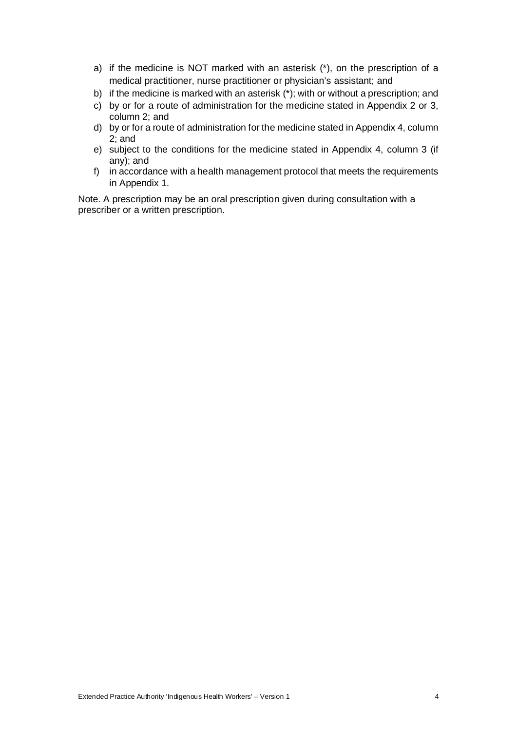- a) if the medicine is NOT marked with an asterisk (\*), on the prescription of a medical practitioner, nurse practitioner or physician's assistant; and
- b) if the medicine is marked with an asterisk (\*); with or without a prescription; and
- c) by or for a route of administration for the medicine stated in Appendix 2 or 3, column 2; and
- d) by or for a route of administration for the medicine stated in Appendix 4, column 2; and
- e) subject to the conditions for the medicine stated in Appendix 4, column 3 (if any); and
- f) in accordance with a health management protocol that meets the requirements in Appendix 1.

Note. A prescription may be an oral prescription given during consultation with a prescriber or a written prescription.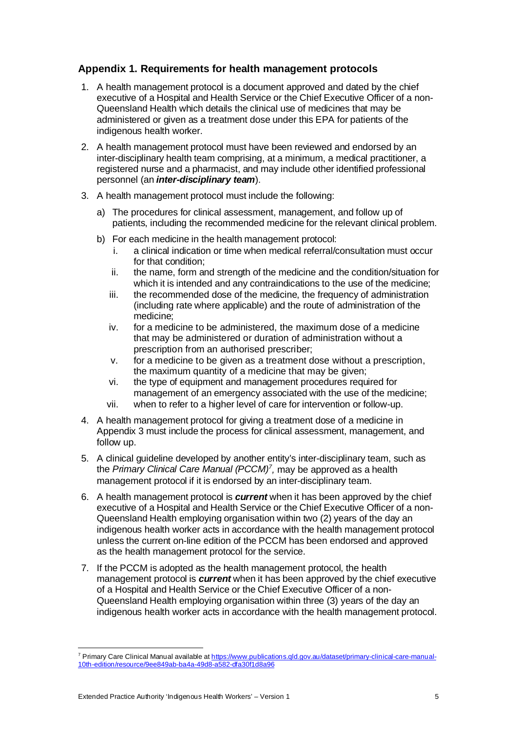## **Appendix 1. Requirements for health management protocols**

- 1. A health management protocol is a document approved and dated by the chief executive of a Hospital and Health Service or the Chief Executive Officer of a non-Queensland Health which details the clinical use of medicines that may be administered or given as a treatment dose under this EPA for patients of the indigenous health worker.
- 2. A health management protocol must have been reviewed and endorsed by an inter-disciplinary health team comprising, at a minimum, a medical practitioner, a registered nurse and a pharmacist, and may include other identified professional personnel (an *inter-disciplinary team*).
- 3. A health management protocol must include the following:
	- a) The procedures for clinical assessment, management, and follow up of patients, including the recommended medicine for the relevant clinical problem.
	- b) For each medicine in the health management protocol:
		- i. a clinical indication or time when medical referral/consultation must occur for that condition:
		- ii. the name, form and strength of the medicine and the condition/situation for which it is intended and any contraindications to the use of the medicine;
		- iii. the recommended dose of the medicine, the frequency of administration (including rate where applicable) and the route of administration of the medicine;
		- iv. for a medicine to be administered, the maximum dose of a medicine that may be administered or duration of administration without a prescription from an authorised prescriber;
		- v. for a medicine to be given as a treatment dose without a prescription, the maximum quantity of a medicine that may be given;
		- vi. the type of equipment and management procedures required for management of an emergency associated with the use of the medicine;
		- vii. when to refer to a higher level of care for intervention or follow-up.
- 4. A health management protocol for giving a treatment dose of a medicine in Appendix 3 must include the process for clinical assessment, management, and follow up.
- 5. A clinical guideline developed by another entity's inter-disciplinary team, such as the *Primary Clinical Care Manual (PCCM)[7](#page-4-0),* may be approved as a health management protocol if it is endorsed by an inter-disciplinary team.
- 6. A health management protocol is *current* when it has been approved by the chief executive of a Hospital and Health Service or the Chief Executive Officer of a non-Queensland Health employing organisation within two (2) years of the day an indigenous health worker acts in accordance with the health management protocol unless the current on-line edition of the PCCM has been endorsed and approved as the health management protocol for the service.
- 7. If the PCCM is adopted as the health management protocol, the health management protocol is *current* when it has been approved by the chief executive of a Hospital and Health Service or the Chief Executive Officer of a non-Queensland Health employing organisation within three (3) years of the day an indigenous health worker acts in accordance with the health management protocol.

<span id="page-4-0"></span><sup>&</sup>lt;sup>7</sup> Primary Care Clinical Manual available at **https://www.publications.qld.gov.au/dataset/primary-clinical-care-manual-**[10th-edition/resource/9ee849ab-ba4a-49d8-a582-dfa30f1d8a96](https://www.publications.qld.gov.au/dataset/primary-clinical-care-manual-10th-edition/resource/9ee849ab-ba4a-49d8-a582-dfa30f1d8a96)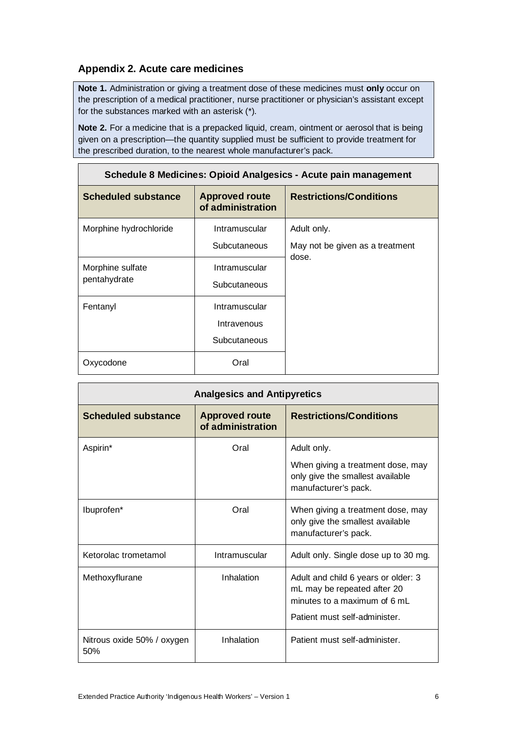## **Appendix 2. Acute care medicines**

**Note 1.** Administration or giving a treatment dose of these medicines must **only** occur on the prescription of a medical practitioner, nurse practitioner or physician's assistant except for the substances marked with an asterisk (\*).

**Note 2.** For a medicine that is a prepacked liquid, cream, ointment or aerosol that is being given on a prescription—the quantity supplied must be sufficient to provide treatment for the prescribed duration, to the nearest whole manufacturer's pack.

| <u>Uchcaale o McGichics. Opiola Analycsics - Acate pain management</u> |                                              |                                                |  |
|------------------------------------------------------------------------|----------------------------------------------|------------------------------------------------|--|
| <b>Scheduled substance</b>                                             | <b>Approved route</b><br>of administration   | <b>Restrictions/Conditions</b>                 |  |
| Morphine hydrochloride                                                 | Intramuscular<br>Subcutaneous                | Adult only.<br>May not be given as a treatment |  |
| Morphine sulfate<br>pentahydrate                                       | Intramuscular<br>Subcutaneous                | dose.                                          |  |
| Fentanyl                                                               | Intramuscular<br>Intravenous<br>Subcutaneous |                                                |  |
| Oxycodone                                                              | Oral                                         |                                                |  |

| <b>Analgesics and Antipyretics</b> |                                            |                                                                                                                                     |
|------------------------------------|--------------------------------------------|-------------------------------------------------------------------------------------------------------------------------------------|
| <b>Scheduled substance</b>         | <b>Approved route</b><br>of administration | <b>Restrictions/Conditions</b>                                                                                                      |
| Aspirin*                           | Oral                                       | Adult only.                                                                                                                         |
|                                    |                                            | When giving a treatment dose, may<br>only give the smallest available<br>manufacturer's pack.                                       |
| Ibuprofen*                         | Oral                                       | When giving a treatment dose, may<br>only give the smallest available<br>manufacturer's pack.                                       |
| Ketorolac trometamol               | Intramuscular                              | Adult only. Single dose up to 30 mg.                                                                                                |
| Methoxyflurane                     | Inhalation                                 | Adult and child 6 years or older: 3<br>mL may be repeated after 20<br>minutes to a maximum of 6 mL<br>Patient must self-administer. |
| Nitrous oxide 50% / oxygen<br>50%  | Inhalation                                 | Patient must self-administer.                                                                                                       |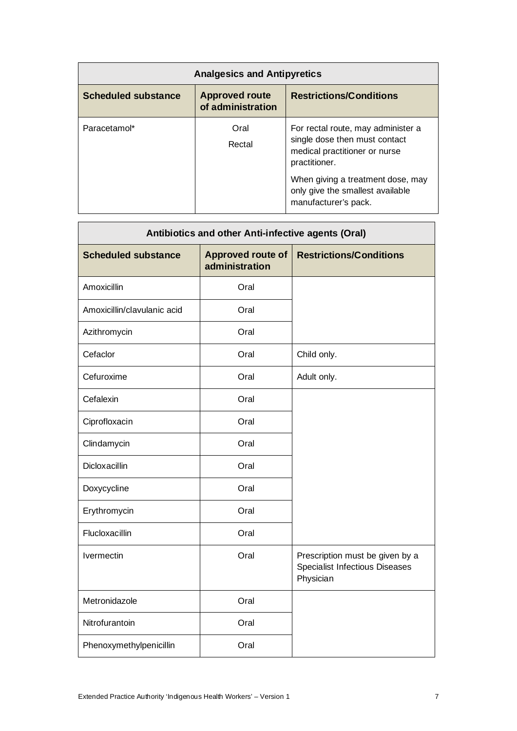| <b>Analgesics and Antipyretics</b> |                                            |                                                                                                                                                            |
|------------------------------------|--------------------------------------------|------------------------------------------------------------------------------------------------------------------------------------------------------------|
| <b>Scheduled substance</b>         | <b>Approved route</b><br>of administration | <b>Restrictions/Conditions</b>                                                                                                                             |
| Paracetamol*                       | Oral<br>Rectal                             | For rectal route, may administer a<br>single dose then must contact<br>medical practitioner or nurse<br>practitioner.<br>When giving a treatment dose, may |
|                                    |                                            | only give the smallest available<br>manufacturer's pack.                                                                                                   |

| Antibiotics and other Anti-infective agents (Oral) |                                            |                                                                                       |
|----------------------------------------------------|--------------------------------------------|---------------------------------------------------------------------------------------|
| <b>Scheduled substance</b>                         | <b>Approved route of</b><br>administration | <b>Restrictions/Conditions</b>                                                        |
| Amoxicillin                                        | Oral                                       |                                                                                       |
| Amoxicillin/clavulanic acid                        | Oral                                       |                                                                                       |
| Azithromycin                                       | Oral                                       |                                                                                       |
| Cefaclor                                           | Oral                                       | Child only.                                                                           |
| Cefuroxime                                         | Oral                                       | Adult only.                                                                           |
| Cefalexin                                          | Oral                                       |                                                                                       |
| Ciprofloxacin                                      | Oral                                       |                                                                                       |
| Clindamycin                                        | Oral                                       |                                                                                       |
| <b>Dicloxacillin</b>                               | Oral                                       |                                                                                       |
| Doxycycline                                        | Oral                                       |                                                                                       |
| Erythromycin                                       | Oral                                       |                                                                                       |
| Flucloxacillin                                     | Oral                                       |                                                                                       |
| <i><u><b>Ivermectin</b></u></i>                    | Oral                                       | Prescription must be given by a<br><b>Specialist Infectious Diseases</b><br>Physician |
| Metronidazole                                      | Oral                                       |                                                                                       |
| Nitrofurantoin                                     | Oral                                       |                                                                                       |
| Phenoxymethylpenicillin                            | Oral                                       |                                                                                       |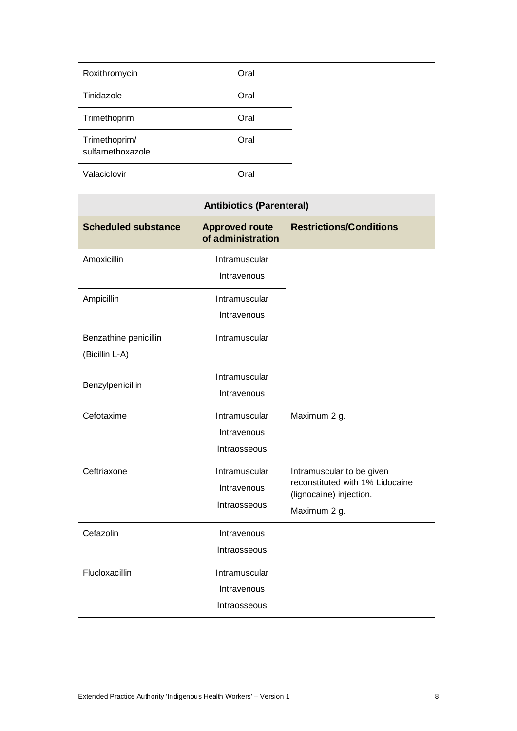| Roxithromycin                     | Oral |  |
|-----------------------------------|------|--|
| Tinidazole                        | Oral |  |
| Trimethoprim                      | Oral |  |
| Trimethoprim/<br>sulfamethoxazole | Oral |  |
| Valaciclovir                      | Oral |  |

| <b>Antibiotics (Parenteral)</b>         |                                              |                                                                                                         |
|-----------------------------------------|----------------------------------------------|---------------------------------------------------------------------------------------------------------|
| <b>Scheduled substance</b>              | <b>Approved route</b><br>of administration   | <b>Restrictions/Conditions</b>                                                                          |
| Amoxicillin                             | Intramuscular<br>Intravenous                 |                                                                                                         |
| Ampicillin                              | Intramuscular<br>Intravenous                 |                                                                                                         |
| Benzathine penicillin<br>(Bicillin L-A) | Intramuscular                                |                                                                                                         |
| Benzylpenicillin                        | Intramuscular<br>Intravenous                 |                                                                                                         |
| Cefotaxime                              | Intramuscular<br>Intravenous<br>Intraosseous | Maximum 2 g.                                                                                            |
| Ceftriaxone                             | Intramuscular<br>Intravenous<br>Intraosseous | Intramuscular to be given<br>reconstituted with 1% Lidocaine<br>(lignocaine) injection.<br>Maximum 2 g. |
| Cefazolin                               | Intravenous<br>Intraosseous                  |                                                                                                         |
| Flucloxacillin                          | Intramuscular<br>Intravenous<br>Intraosseous |                                                                                                         |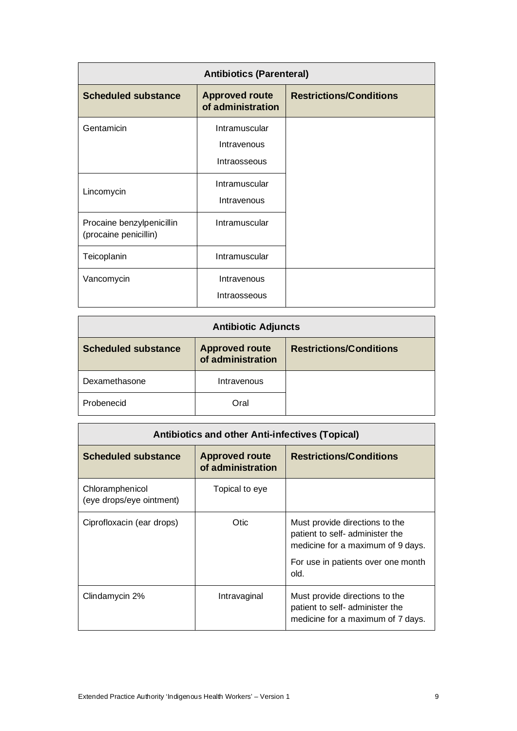| <b>Antibiotics (Parenteral)</b>                    |                                              |                                |
|----------------------------------------------------|----------------------------------------------|--------------------------------|
| <b>Scheduled substance</b>                         | <b>Approved route</b><br>of administration   | <b>Restrictions/Conditions</b> |
| Gentamicin                                         | Intramuscular<br>Intravenous<br>Intraosseous |                                |
| Lincomycin                                         | Intramuscular<br>Intravenous                 |                                |
| Procaine benzylpenicillin<br>(procaine penicillin) | Intramuscular                                |                                |
| Teicoplanin                                        | Intramuscular                                |                                |
| Vancomycin                                         | Intravenous<br>Intraosseous                  |                                |

| <b>Antibiotic Adjuncts</b> |                                            |                                |
|----------------------------|--------------------------------------------|--------------------------------|
| <b>Scheduled substance</b> | <b>Approved route</b><br>of administration | <b>Restrictions/Conditions</b> |
| Dexamethasone              | Intravenous                                |                                |
| Probenecid                 | Oral                                       |                                |

| <b>Antibiotics and other Anti-infectives (Topical)</b> |                                            |                                                                                                        |
|--------------------------------------------------------|--------------------------------------------|--------------------------------------------------------------------------------------------------------|
| <b>Scheduled substance</b>                             | <b>Approved route</b><br>of administration | <b>Restrictions/Conditions</b>                                                                         |
| Chloramphenicol<br>(eye drops/eye ointment)            | Topical to eye                             |                                                                                                        |
| Ciprofloxacin (ear drops)                              | Otic                                       | Must provide directions to the<br>patient to self- administer the<br>medicine for a maximum of 9 days. |
|                                                        |                                            | For use in patients over one month<br>old.                                                             |
| Clindamycin 2%                                         | Intravaginal                               | Must provide directions to the<br>patient to self- administer the<br>medicine for a maximum of 7 days. |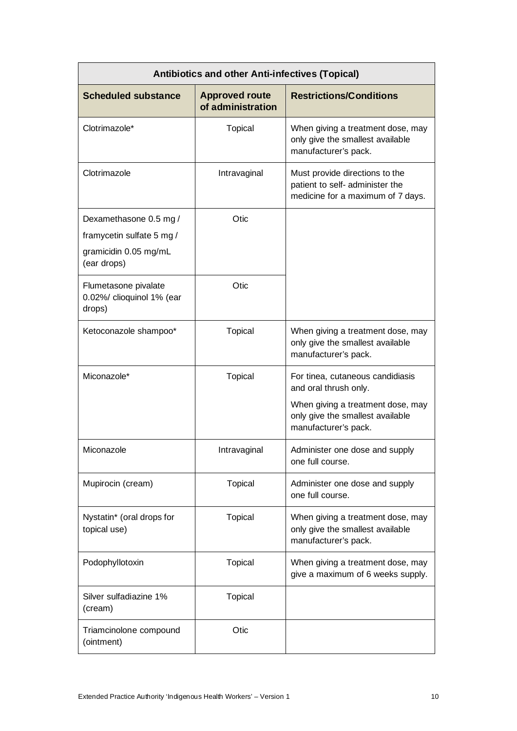| <b>Antibiotics and other Anti-infectives (Topical)</b>                                      |                                            |                                                                                                                                                            |
|---------------------------------------------------------------------------------------------|--------------------------------------------|------------------------------------------------------------------------------------------------------------------------------------------------------------|
| <b>Scheduled substance</b>                                                                  | <b>Approved route</b><br>of administration | <b>Restrictions/Conditions</b>                                                                                                                             |
| Clotrimazole*                                                                               | <b>Topical</b>                             | When giving a treatment dose, may<br>only give the smallest available<br>manufacturer's pack.                                                              |
| Clotrimazole                                                                                | Intravaginal                               | Must provide directions to the<br>patient to self- administer the<br>medicine for a maximum of 7 days.                                                     |
| Dexamethasone 0.5 mg /<br>framycetin sulfate 5 mg /<br>gramicidin 0.05 mg/mL<br>(ear drops) | Otic                                       |                                                                                                                                                            |
| Flumetasone pivalate<br>0.02%/ clioquinol 1% (ear<br>drops)                                 | Otic                                       |                                                                                                                                                            |
| Ketoconazole shampoo*                                                                       | <b>Topical</b>                             | When giving a treatment dose, may<br>only give the smallest available<br>manufacturer's pack.                                                              |
| Miconazole*                                                                                 | <b>Topical</b>                             | For tinea, cutaneous candidiasis<br>and oral thrush only.<br>When giving a treatment dose, may<br>only give the smallest available<br>manufacturer's pack. |
| Miconazole                                                                                  | Intravaginal                               | Administer one dose and supply<br>one full course.                                                                                                         |
| Mupirocin (cream)                                                                           | <b>Topical</b>                             | Administer one dose and supply<br>one full course.                                                                                                         |
| Nystatin* (oral drops for<br>topical use)                                                   | <b>Topical</b>                             | When giving a treatment dose, may<br>only give the smallest available<br>manufacturer's pack.                                                              |
| Podophyllotoxin                                                                             | <b>Topical</b>                             | When giving a treatment dose, may<br>give a maximum of 6 weeks supply.                                                                                     |
| Silver sulfadiazine 1%<br>(cream)                                                           | <b>Topical</b>                             |                                                                                                                                                            |
| Triamcinolone compound<br>(ointment)                                                        | Otic                                       |                                                                                                                                                            |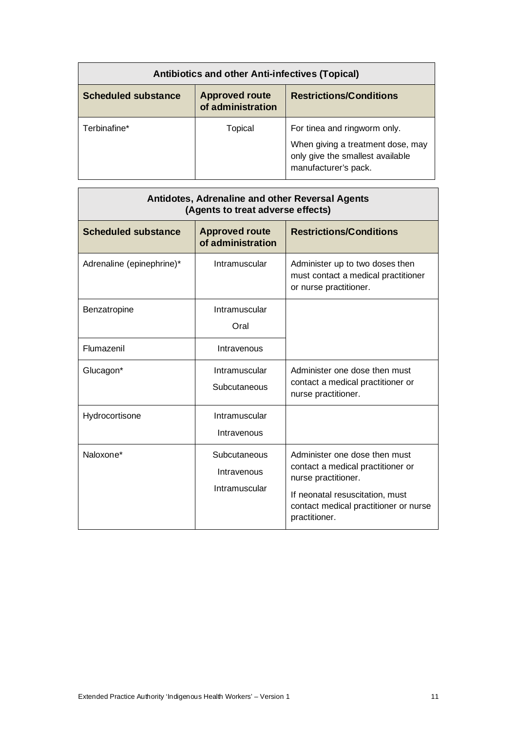| <b>Antibiotics and other Anti-infectives (Topical)</b> |                                            |                                                                                                                               |
|--------------------------------------------------------|--------------------------------------------|-------------------------------------------------------------------------------------------------------------------------------|
| <b>Scheduled substance</b>                             | <b>Approved route</b><br>of administration | <b>Restrictions/Conditions</b>                                                                                                |
| Terbinafine*                                           | Topical                                    | For tinea and ringworm only.<br>When giving a treatment dose, may<br>only give the smallest available<br>manufacturer's pack. |

| Antidotes, Adrenaline and other Reversal Agents<br>(Agents to treat adverse effects) |                                              |                                                                                                                                                                                        |
|--------------------------------------------------------------------------------------|----------------------------------------------|----------------------------------------------------------------------------------------------------------------------------------------------------------------------------------------|
| <b>Scheduled substance</b>                                                           | <b>Approved route</b><br>of administration   | <b>Restrictions/Conditions</b>                                                                                                                                                         |
| Adrenaline (epinephrine)*                                                            | Intramuscular                                | Administer up to two doses then<br>must contact a medical practitioner<br>or nurse practitioner.                                                                                       |
| Benzatropine                                                                         | Intramuscular<br>Oral                        |                                                                                                                                                                                        |
| Flumazenil                                                                           | Intravenous                                  |                                                                                                                                                                                        |
| Glucagon*                                                                            | Intramuscular<br>Subcutaneous                | Administer one dose then must<br>contact a medical practitioner or<br>nurse practitioner.                                                                                              |
| Hydrocortisone                                                                       | Intramuscular<br>Intravenous                 |                                                                                                                                                                                        |
| Naloxone*                                                                            | Subcutaneous<br>Intravenous<br>Intramuscular | Administer one dose then must<br>contact a medical practitioner or<br>nurse practitioner.<br>If neonatal resuscitation, must<br>contact medical practitioner or nurse<br>practitioner. |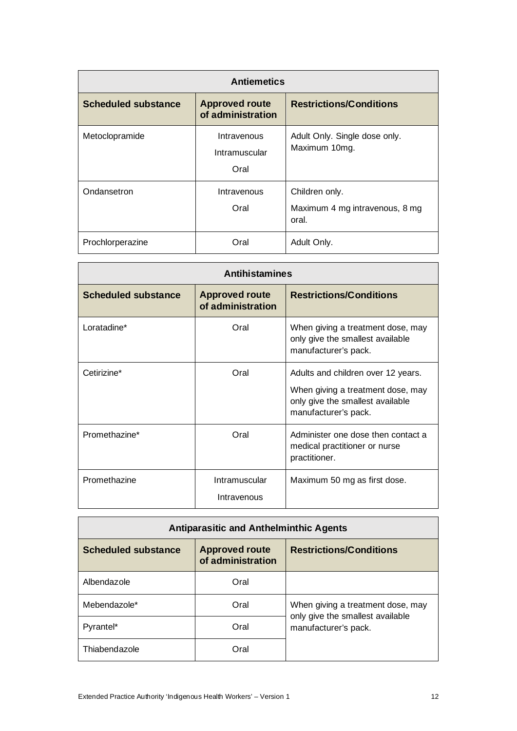| <b>Antiemetics</b>         |                                            |                                                           |
|----------------------------|--------------------------------------------|-----------------------------------------------------------|
| <b>Scheduled substance</b> | <b>Approved route</b><br>of administration | <b>Restrictions/Conditions</b>                            |
| Metoclopramide             | Intravenous<br>Intramuscular<br>Oral       | Adult Only. Single dose only.<br>Maximum 10mg.            |
| Ondansetron                | Intravenous<br>Oral                        | Children only.<br>Maximum 4 mg intravenous, 8 mg<br>oral. |
| Prochlorperazine           | Oral                                       | Adult Only.                                               |

| <b>Antihistamines</b>      |                                            |                                                                                                                                     |
|----------------------------|--------------------------------------------|-------------------------------------------------------------------------------------------------------------------------------------|
| <b>Scheduled substance</b> | <b>Approved route</b><br>of administration | <b>Restrictions/Conditions</b>                                                                                                      |
| Loratadine*                | Oral                                       | When giving a treatment dose, may<br>only give the smallest available<br>manufacturer's pack.                                       |
| Cetirizine*                | Oral                                       | Adults and children over 12 years.<br>When giving a treatment dose, may<br>only give the smallest available<br>manufacturer's pack. |
| Promethazine*              | Oral                                       | Administer one dose then contact a<br>medical practitioner or nurse<br>practitioner.                                                |
| Promethazine               | Intramuscular<br>Intravenous               | Maximum 50 mg as first dose.                                                                                                        |

| <b>Antiparasitic and Anthelminthic Agents</b> |                                            |                                                          |
|-----------------------------------------------|--------------------------------------------|----------------------------------------------------------|
| <b>Scheduled substance</b>                    | <b>Approved route</b><br>of administration | <b>Restrictions/Conditions</b>                           |
| Albendazole                                   | Oral                                       |                                                          |
| Mebendazole*                                  | Oral                                       | When giving a treatment dose, may                        |
| Pyrantel*                                     | Oral                                       | only give the smallest available<br>manufacturer's pack. |
| Thiabendazole                                 | Oral                                       |                                                          |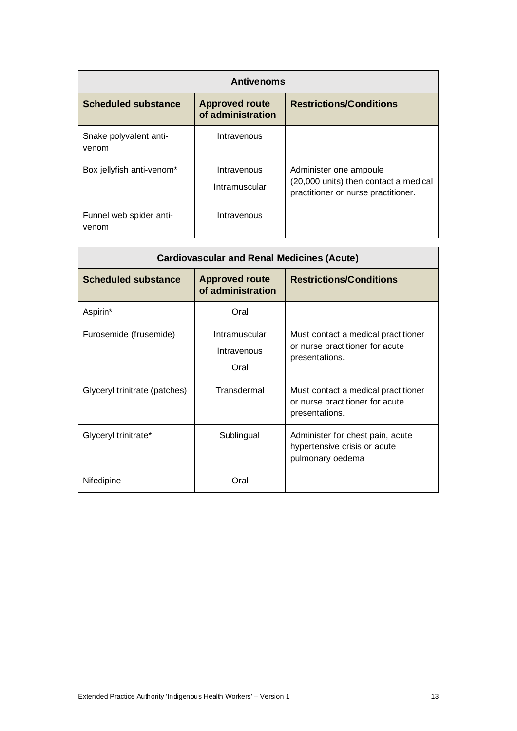| <b>Antivenoms</b>                |                                            |                                                                                                        |
|----------------------------------|--------------------------------------------|--------------------------------------------------------------------------------------------------------|
| <b>Scheduled substance</b>       | <b>Approved route</b><br>of administration | <b>Restrictions/Conditions</b>                                                                         |
| Snake polyvalent anti-<br>venom  | Intravenous                                |                                                                                                        |
| Box jellyfish anti-venom*        | Intravenous<br>Intramuscular               | Administer one ampoule<br>(20,000 units) then contact a medical<br>practitioner or nurse practitioner. |
| Funnel web spider anti-<br>venom | Intravenous                                |                                                                                                        |

| <b>Cardiovascular and Renal Medicines (Acute)</b> |                                            |                                                                                          |
|---------------------------------------------------|--------------------------------------------|------------------------------------------------------------------------------------------|
| <b>Scheduled substance</b>                        | <b>Approved route</b><br>of administration | <b>Restrictions/Conditions</b>                                                           |
| Aspirin*                                          | Oral                                       |                                                                                          |
| Furosemide (frusemide)                            | Intramuscular<br>Intravenous<br>Oral       | Must contact a medical practitioner<br>or nurse practitioner for acute<br>presentations. |
| Glyceryl trinitrate (patches)                     | Transdermal                                | Must contact a medical practitioner<br>or nurse practitioner for acute<br>presentations. |
| Glyceryl trinitrate*                              | Sublingual                                 | Administer for chest pain, acute<br>hypertensive crisis or acute<br>pulmonary oedema     |
| Nifedipine                                        | Oral                                       |                                                                                          |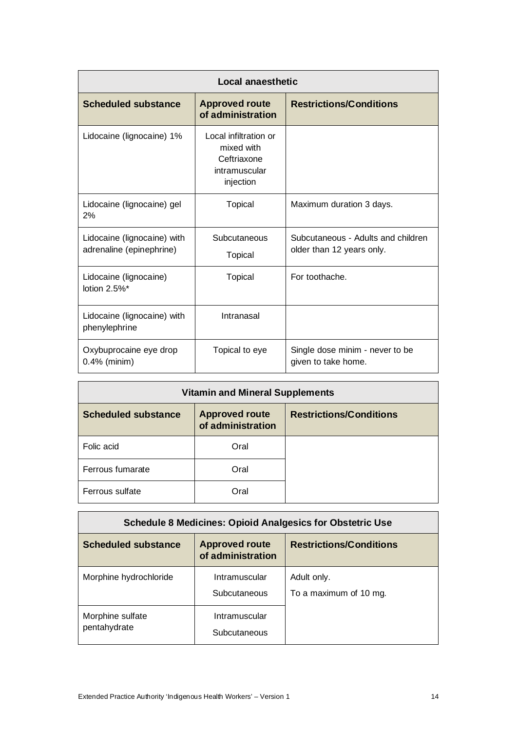| Local anaesthetic                                       |                                                                                  |                                                                 |  |
|---------------------------------------------------------|----------------------------------------------------------------------------------|-----------------------------------------------------------------|--|
| <b>Scheduled substance</b>                              | <b>Approved route</b><br>of administration                                       | <b>Restrictions/Conditions</b>                                  |  |
| Lidocaine (lignocaine) 1%                               | Local infiltration or<br>mixed with<br>Ceftriaxone<br>intramuscular<br>injection |                                                                 |  |
| Lidocaine (lignocaine) gel<br>2%                        | <b>Topical</b>                                                                   | Maximum duration 3 days.                                        |  |
| Lidocaine (lignocaine) with<br>adrenaline (epinephrine) | Subcutaneous<br><b>Topical</b>                                                   | Subcutaneous - Adults and children<br>older than 12 years only. |  |
| Lidocaine (lignocaine)<br>lotion 2.5%*                  | <b>Topical</b>                                                                   | For toothache.                                                  |  |
| Lidocaine (lignocaine) with<br>phenylephrine            | Intranasal                                                                       |                                                                 |  |
| Oxybuprocaine eye drop<br>$0.4\%$ (minim)               | Topical to eye                                                                   | Single dose minim - never to be<br>given to take home.          |  |

| <b>Vitamin and Mineral Supplements</b> |                                            |                                |
|----------------------------------------|--------------------------------------------|--------------------------------|
| <b>Scheduled substance</b>             | <b>Approved route</b><br>of administration | <b>Restrictions/Conditions</b> |
| Folic acid                             | Oral                                       |                                |
| Ferrous fumarate                       | Oral                                       |                                |
| Ferrous sulfate                        | Oral                                       |                                |

| <b>Schedule 8 Medicines: Opioid Analgesics for Obstetric Use</b> |                                            |                                       |  |
|------------------------------------------------------------------|--------------------------------------------|---------------------------------------|--|
| <b>Scheduled substance</b>                                       | <b>Approved route</b><br>of administration | <b>Restrictions/Conditions</b>        |  |
| Morphine hydrochloride                                           | Intramuscular<br>Subcutaneous              | Adult only.<br>To a maximum of 10 mg. |  |
| Morphine sulfate<br>pentahydrate                                 | Intramuscular<br>Subcutaneous              |                                       |  |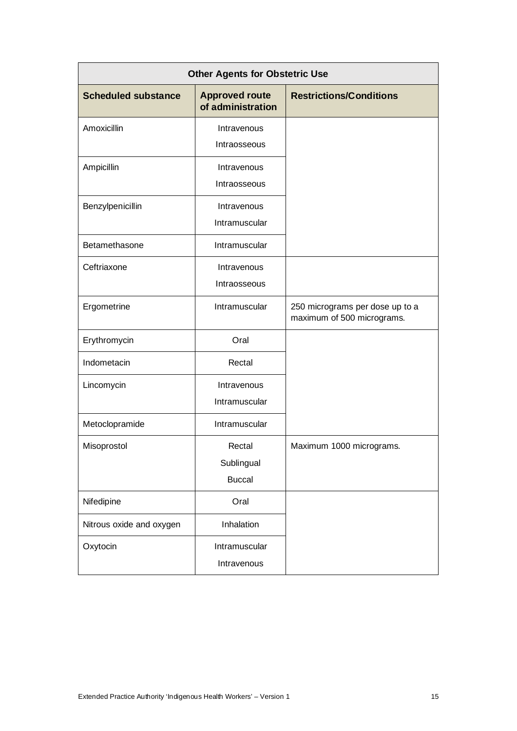| <b>Other Agents for Obstetric Use</b> |                                            |                                                               |
|---------------------------------------|--------------------------------------------|---------------------------------------------------------------|
| <b>Scheduled substance</b>            | <b>Approved route</b><br>of administration | <b>Restrictions/Conditions</b>                                |
| Amoxicillin                           | Intravenous<br>Intraosseous                |                                                               |
| Ampicillin                            | Intravenous<br>Intraosseous                |                                                               |
| Benzylpenicillin                      | Intravenous<br>Intramuscular               |                                                               |
| Betamethasone                         | Intramuscular                              |                                                               |
| Ceftriaxone                           | Intravenous<br>Intraosseous                |                                                               |
| Ergometrine                           | Intramuscular                              | 250 micrograms per dose up to a<br>maximum of 500 micrograms. |
| Erythromycin                          | Oral                                       |                                                               |
| Indometacin                           | Rectal                                     |                                                               |
| Lincomycin                            | Intravenous<br>Intramuscular               |                                                               |
| Metoclopramide                        | Intramuscular                              |                                                               |
| Misoprostol                           | Rectal<br>Sublingual<br><b>Buccal</b>      | Maximum 1000 micrograms.                                      |
| Nifedipine                            | Oral                                       |                                                               |
| Nitrous oxide and oxygen              | Inhalation                                 |                                                               |
| Oxytocin                              | Intramuscular<br>Intravenous               |                                                               |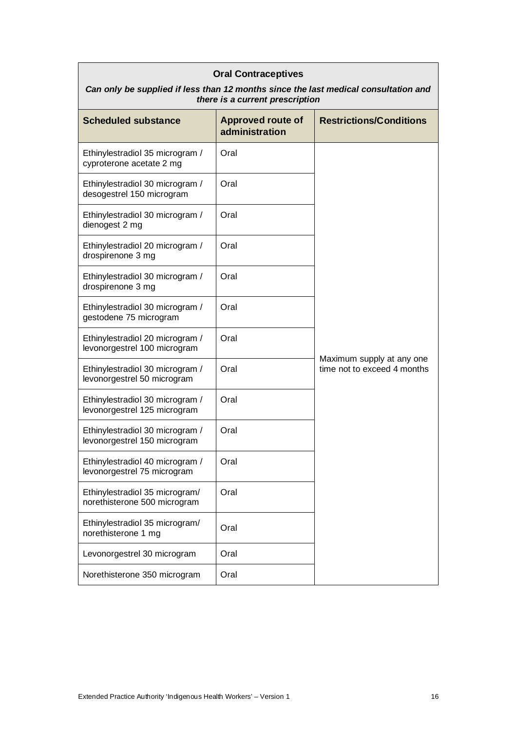| <b>Oral Contraceptives</b>                                                                                             |                                            |                                                          |  |
|------------------------------------------------------------------------------------------------------------------------|--------------------------------------------|----------------------------------------------------------|--|
| Can only be supplied if less than 12 months since the last medical consultation and<br>there is a current prescription |                                            |                                                          |  |
| <b>Scheduled substance</b>                                                                                             | <b>Approved route of</b><br>administration | <b>Restrictions/Conditions</b>                           |  |
| Ethinylestradiol 35 microgram /<br>cyproterone acetate 2 mg                                                            | Oral                                       |                                                          |  |
| Ethinylestradiol 30 microgram /<br>desogestrel 150 microgram                                                           | Oral                                       |                                                          |  |
| Ethinylestradiol 30 microgram /<br>dienogest 2 mg                                                                      | Oral                                       |                                                          |  |
| Ethinylestradiol 20 microgram /<br>drospirenone 3 mg                                                                   | Oral                                       |                                                          |  |
| Ethinylestradiol 30 microgram /<br>drospirenone 3 mg                                                                   | Oral                                       |                                                          |  |
| Ethinylestradiol 30 microgram /<br>gestodene 75 microgram                                                              | Oral                                       |                                                          |  |
| Ethinylestradiol 20 microgram /<br>levonorgestrel 100 microgram                                                        | Oral                                       |                                                          |  |
| Ethinylestradiol 30 microgram /<br>levonorgestrel 50 microgram                                                         | Oral                                       | Maximum supply at any one<br>time not to exceed 4 months |  |
| Ethinylestradiol 30 microgram /<br>levonorgestrel 125 microgram                                                        | Oral                                       |                                                          |  |
| Ethinylestradiol 30 microgram /<br>levonorgestrel 150 microgram                                                        | Oral                                       |                                                          |  |
| Ethinylestradiol 40 microgram /<br>levonorgestrel 75 microgram                                                         | Oral                                       |                                                          |  |
| Ethinylestradiol 35 microgram/<br>norethisterone 500 microgram                                                         | Oral                                       |                                                          |  |
| Ethinylestradiol 35 microgram/<br>norethisterone 1 mg                                                                  | Oral                                       |                                                          |  |
| Levonorgestrel 30 microgram                                                                                            | Oral                                       |                                                          |  |
| Norethisterone 350 microgram                                                                                           | Oral                                       |                                                          |  |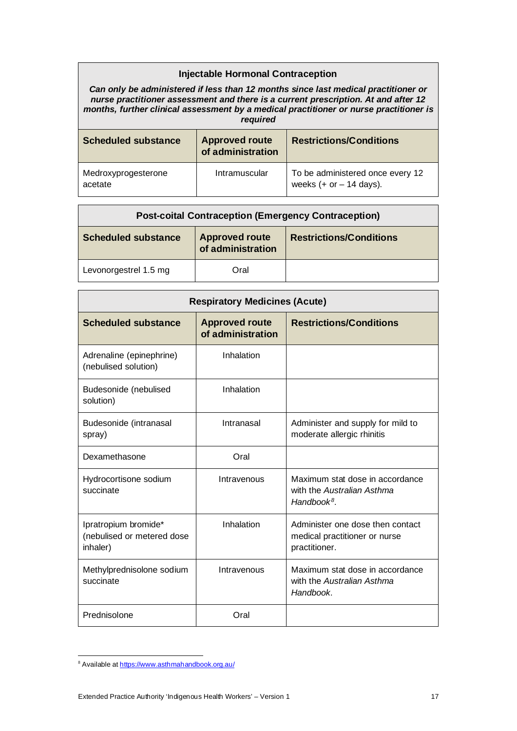### **Injectable Hormonal Contraception**

*Can only be administered if less than 12 months since last medical practitioner or nurse practitioner assessment and there is a current prescription. At and after 12 months, further clinical assessment by a medical practitioner or nurse practitioner is required*

| <b>Scheduled substance</b>     | <b>Approved route</b><br>of administration | <b>Restrictions/Conditions</b>                                |
|--------------------------------|--------------------------------------------|---------------------------------------------------------------|
| Medroxyprogesterone<br>acetate | Intramuscular                              | To be administered once every 12<br>weeks $(+ or - 14$ days). |

| <b>Post-coital Contraception (Emergency Contraception)</b> |                                            |                                |
|------------------------------------------------------------|--------------------------------------------|--------------------------------|
| <b>Scheduled substance</b>                                 | <b>Approved route</b><br>of administration | <b>Restrictions/Conditions</b> |
| Levonorgestrel 1.5 mg                                      | Oral                                       |                                |

| <b>Respiratory Medicines (Acute)</b>                           |                                            |                                                                                        |
|----------------------------------------------------------------|--------------------------------------------|----------------------------------------------------------------------------------------|
| <b>Scheduled substance</b>                                     | <b>Approved route</b><br>of administration | <b>Restrictions/Conditions</b>                                                         |
| Adrenaline (epinephrine)<br>(nebulised solution)               | Inhalation                                 |                                                                                        |
| Budesonide (nebulised<br>solution)                             | Inhalation                                 |                                                                                        |
| Budesonide (intranasal<br>spray)                               | Intranasal                                 | Administer and supply for mild to<br>moderate allergic rhinitis                        |
| Dexamethasone                                                  | Oral                                       |                                                                                        |
| Hydrocortisone sodium<br>succinate                             | Intravenous                                | Maximum stat dose in accordance<br>with the Australian Asthma<br>Handbook <sup>8</sup> |
| Ipratropium bromide*<br>(nebulised or metered dose<br>inhaler) | Inhalation                                 | Administer one dose then contact<br>medical practitioner or nurse<br>practitioner.     |
| Methylprednisolone sodium<br>succinate                         | Intravenous                                | Maximum stat dose in accordance<br>with the Australian Asthma<br>Handbook.             |
| Prednisolone                                                   | Oral                                       |                                                                                        |

<span id="page-16-0"></span><sup>&</sup>lt;sup>8</sup> Available a[t https://www.asthmahandbook.org.au/](https://www.asthmahandbook.org.au/)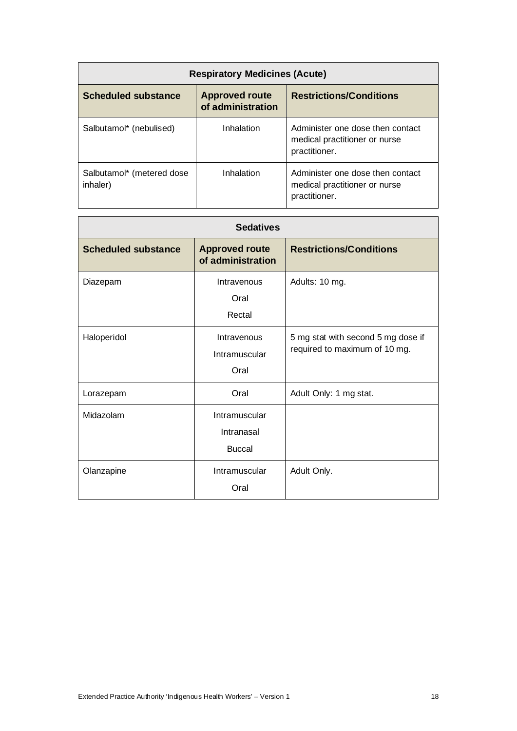| <b>Respiratory Medicines (Acute)</b>  |                                            |                                                                                    |
|---------------------------------------|--------------------------------------------|------------------------------------------------------------------------------------|
| <b>Scheduled substance</b>            | <b>Approved route</b><br>of administration | <b>Restrictions/Conditions</b>                                                     |
| Salbutamol* (nebulised)               | Inhalation                                 | Administer one dose then contact<br>medical practitioner or nurse<br>practitioner. |
| Salbutamol* (metered dose<br>inhaler) | Inhalation                                 | Administer one dose then contact<br>medical practitioner or nurse<br>practitioner. |

| <b>Sedatives</b>           |                                              |                                                                     |
|----------------------------|----------------------------------------------|---------------------------------------------------------------------|
| <b>Scheduled substance</b> | <b>Approved route</b><br>of administration   | <b>Restrictions/Conditions</b>                                      |
| Diazepam                   | Intravenous<br>Oral<br>Rectal                | Adults: 10 mg.                                                      |
| Haloperidol                | Intravenous<br>Intramuscular<br>Oral         | 5 mg stat with second 5 mg dose if<br>required to maximum of 10 mg. |
| Lorazepam                  | Oral                                         | Adult Only: 1 mg stat.                                              |
| Midazolam                  | Intramuscular<br>Intranasal<br><b>Buccal</b> |                                                                     |
| Olanzapine                 | Intramuscular<br>Oral                        | Adult Only.                                                         |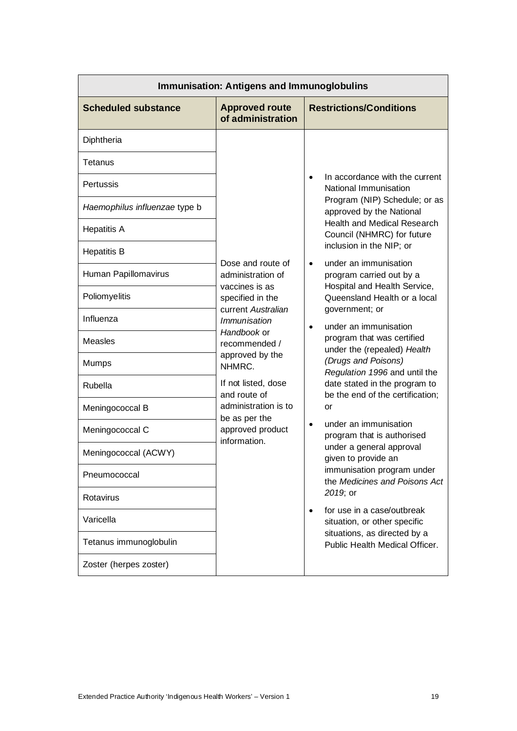| <b>Immunisation: Antigens and Immunoglobulins</b> |                                            |                                                                         |
|---------------------------------------------------|--------------------------------------------|-------------------------------------------------------------------------|
| <b>Scheduled substance</b>                        | <b>Approved route</b><br>of administration | <b>Restrictions/Conditions</b>                                          |
| Diphtheria                                        |                                            |                                                                         |
| Tetanus                                           |                                            |                                                                         |
| Pertussis                                         |                                            | In accordance with the current<br>National Immunisation                 |
| Haemophilus influenzae type b                     |                                            | Program (NIP) Schedule; or as<br>approved by the National               |
| <b>Hepatitis A</b>                                |                                            | <b>Health and Medical Research</b><br>Council (NHMRC) for future        |
| <b>Hepatitis B</b>                                | Dose and route of                          | inclusion in the NIP; or<br>under an immunisation<br>$\bullet$          |
| Human Papillomavirus                              | administration of<br>vaccines is as        | program carried out by a<br>Hospital and Health Service,                |
| Poliomyelitis                                     | specified in the<br>current Australian     | Queensland Health or a local                                            |
| Influenza                                         | Immunisation                               | government; or<br>under an immunisation<br>$\bullet$                    |
| Measles                                           | Handbook or<br>recommended /               | program that was certified<br>under the (repealed) Health               |
| Mumps                                             | approved by the<br>NHMRC.                  | (Drugs and Poisons)<br>Regulation 1996 and until the                    |
| Rubella                                           | If not listed, dose<br>and route of        | date stated in the program to<br>be the end of the certification;       |
| Meningococcal B                                   | administration is to<br>be as per the      | or                                                                      |
| Meningococcal C                                   | approved product<br>information.           | under an immunisation<br>$\bullet$<br>program that is authorised        |
| Meningococcal (ACWY)                              |                                            | under a general approval<br>given to provide an                         |
| Pneumococcal                                      |                                            | immunisation program under<br>the Medicines and Poisons Act             |
| Rotavirus                                         |                                            | 2019; or                                                                |
| Varicella                                         |                                            | for use in a case/outbreak<br>$\bullet$<br>situation, or other specific |
| Tetanus immunoglobulin                            |                                            | situations, as directed by a<br>Public Health Medical Officer.          |
| Zoster (herpes zoster)                            |                                            |                                                                         |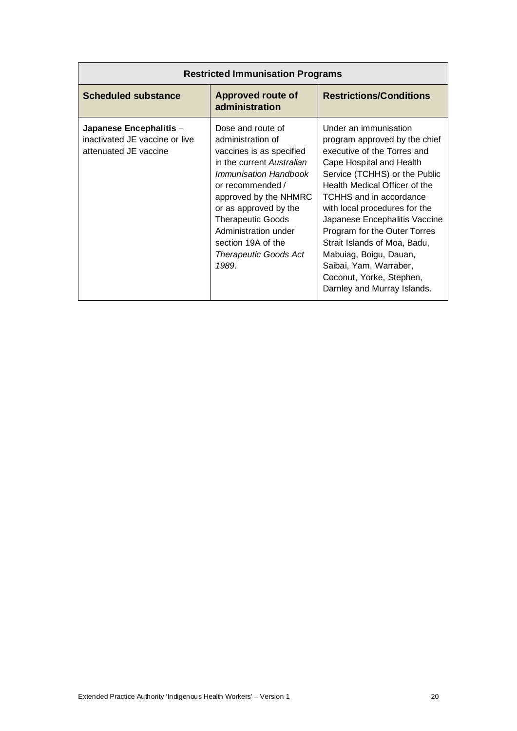| <b>Restricted Immunisation Programs</b>                                            |                                                                                                                                                                                                                                                                                                            |                                                                                                                                                                                                                                                                                                                                                                                                                                                                        |
|------------------------------------------------------------------------------------|------------------------------------------------------------------------------------------------------------------------------------------------------------------------------------------------------------------------------------------------------------------------------------------------------------|------------------------------------------------------------------------------------------------------------------------------------------------------------------------------------------------------------------------------------------------------------------------------------------------------------------------------------------------------------------------------------------------------------------------------------------------------------------------|
| <b>Scheduled substance</b>                                                         | <b>Approved route of</b><br>administration                                                                                                                                                                                                                                                                 | <b>Restrictions/Conditions</b>                                                                                                                                                                                                                                                                                                                                                                                                                                         |
| Japanese Encephalitis -<br>inactivated JE vaccine or live<br>attenuated JE vaccine | Dose and route of<br>administration of<br>vaccines is as specified<br>in the current Australian<br>Immunisation Handbook<br>or recommended /<br>approved by the NHMRC<br>or as approved by the<br><b>Therapeutic Goods</b><br>Administration under<br>section 19A of the<br>Therapeutic Goods Act<br>1989. | Under an immunisation<br>program approved by the chief<br>executive of the Torres and<br>Cape Hospital and Health<br>Service (TCHHS) or the Public<br>Health Medical Officer of the<br><b>TCHHS</b> and in accordance<br>with local procedures for the<br>Japanese Encephalitis Vaccine<br>Program for the Outer Torres<br>Strait Islands of Moa, Badu,<br>Mabuiag, Boigu, Dauan,<br>Saibai, Yam, Warraber,<br>Coconut, Yorke, Stephen,<br>Darnley and Murray Islands. |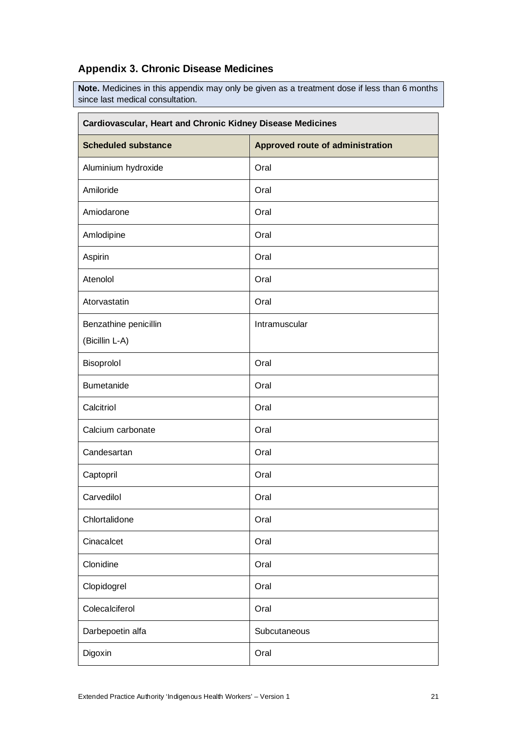## **Appendix 3. Chronic Disease Medicines**

**Note.** Medicines in this appendix may only be given as a treatment dose if less than 6 months since last medical consultation.

| Cardiovascular, Heart and Chronic Kidney Disease Medicines |                                  |  |
|------------------------------------------------------------|----------------------------------|--|
| <b>Scheduled substance</b>                                 | Approved route of administration |  |
| Aluminium hydroxide                                        | Oral                             |  |
| Amiloride                                                  | Oral                             |  |
| Amiodarone                                                 | Oral                             |  |
| Amlodipine                                                 | Oral                             |  |
| Aspirin                                                    | Oral                             |  |
| Atenolol                                                   | Oral                             |  |
| Atorvastatin                                               | Oral                             |  |
| Benzathine penicillin<br>(Bicillin L-A)                    | Intramuscular                    |  |
| Bisoprolol                                                 | Oral                             |  |
| Bumetanide                                                 | Oral                             |  |
| Calcitriol                                                 | Oral                             |  |
| Calcium carbonate                                          | Oral                             |  |
| Candesartan                                                | Oral                             |  |
| Captopril                                                  | Oral                             |  |
| Carvedilol                                                 | Oral                             |  |
| Chlortalidone                                              | Oral                             |  |
| Cinacalcet                                                 | Oral                             |  |
| Clonidine                                                  | Oral                             |  |
| Clopidogrel                                                | Oral                             |  |
| Colecalciferol                                             | Oral                             |  |
| Darbepoetin alfa                                           | Subcutaneous                     |  |
| Digoxin                                                    | Oral                             |  |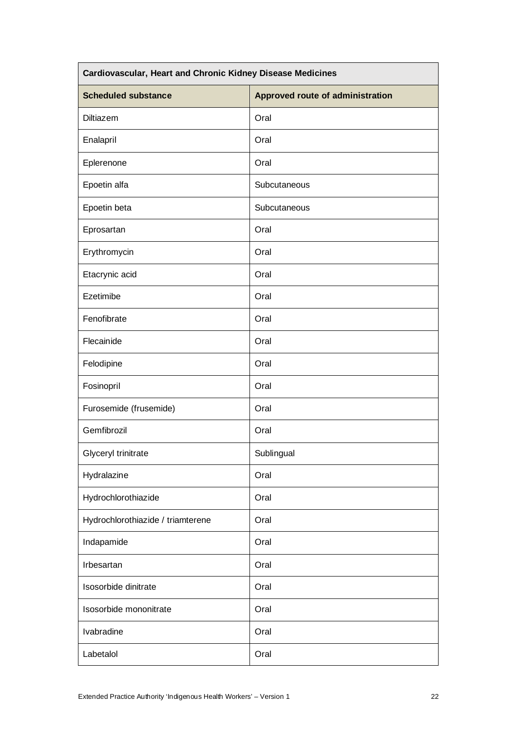| Cardiovascular, Heart and Chronic Kidney Disease Medicines     |              |  |
|----------------------------------------------------------------|--------------|--|
| <b>Scheduled substance</b><br>Approved route of administration |              |  |
| Diltiazem                                                      | Oral         |  |
| Enalapril                                                      | Oral         |  |
| Eplerenone                                                     | Oral         |  |
| Epoetin alfa                                                   | Subcutaneous |  |
| Epoetin beta                                                   | Subcutaneous |  |
| Eprosartan                                                     | Oral         |  |
| Erythromycin                                                   | Oral         |  |
| Etacrynic acid                                                 | Oral         |  |
| Ezetimibe                                                      | Oral         |  |
| Fenofibrate                                                    | Oral         |  |
| Flecainide                                                     | Oral         |  |
| Felodipine                                                     | Oral         |  |
| Fosinopril                                                     | Oral         |  |
| Furosemide (frusemide)                                         | Oral         |  |
| Gemfibrozil                                                    | Oral         |  |
| Glyceryl trinitrate                                            | Sublingual   |  |
| Hydralazine                                                    | Oral         |  |
| Hydrochlorothiazide                                            | Oral         |  |
| Hydrochlorothiazide / triamterene                              | Oral         |  |
| Indapamide                                                     | Oral         |  |
| Irbesartan                                                     | Oral         |  |
| Isosorbide dinitrate                                           | Oral         |  |
| Isosorbide mononitrate                                         | Oral         |  |
| Ivabradine                                                     | Oral         |  |
| Labetalol                                                      | Oral         |  |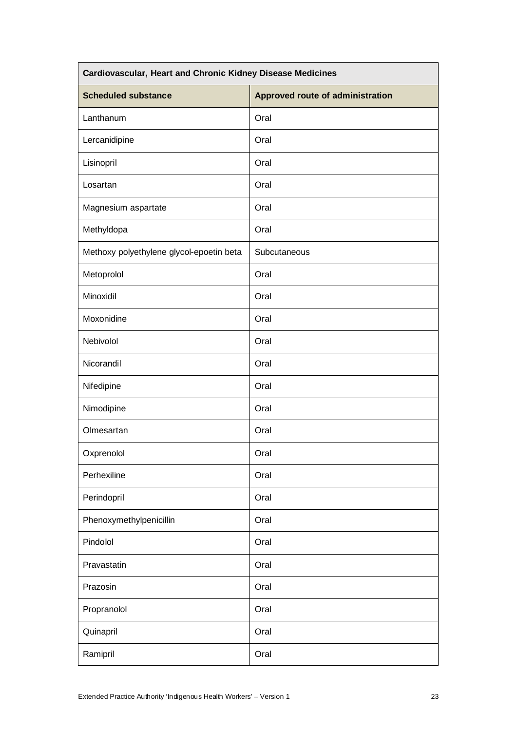| Cardiovascular, Heart and Chronic Kidney Disease Medicines |                                  |  |
|------------------------------------------------------------|----------------------------------|--|
| <b>Scheduled substance</b>                                 | Approved route of administration |  |
| Lanthanum                                                  | Oral                             |  |
| Lercanidipine                                              | Oral                             |  |
| Lisinopril                                                 | Oral                             |  |
| Losartan                                                   | Oral                             |  |
| Magnesium aspartate                                        | Oral                             |  |
| Methyldopa                                                 | Oral                             |  |
| Methoxy polyethylene glycol-epoetin beta                   | Subcutaneous                     |  |
| Metoprolol                                                 | Oral                             |  |
| Minoxidil                                                  | Oral                             |  |
| Moxonidine                                                 | Oral                             |  |
| Nebivolol                                                  | Oral                             |  |
| Nicorandil                                                 | Oral                             |  |
| Nifedipine                                                 | Oral                             |  |
| Nimodipine                                                 | Oral                             |  |
| Olmesartan                                                 | Oral                             |  |
| Oxprenolol                                                 | Oral                             |  |
| Perhexiline                                                | Oral                             |  |
| Perindopril                                                | Oral                             |  |
| Phenoxymethylpenicillin                                    | Oral                             |  |
| Pindolol                                                   | Oral                             |  |
| Pravastatin                                                | Oral                             |  |
| Prazosin                                                   | Oral                             |  |
| Propranolol                                                | Oral                             |  |
| Quinapril                                                  | Oral                             |  |
| Ramipril                                                   | Oral                             |  |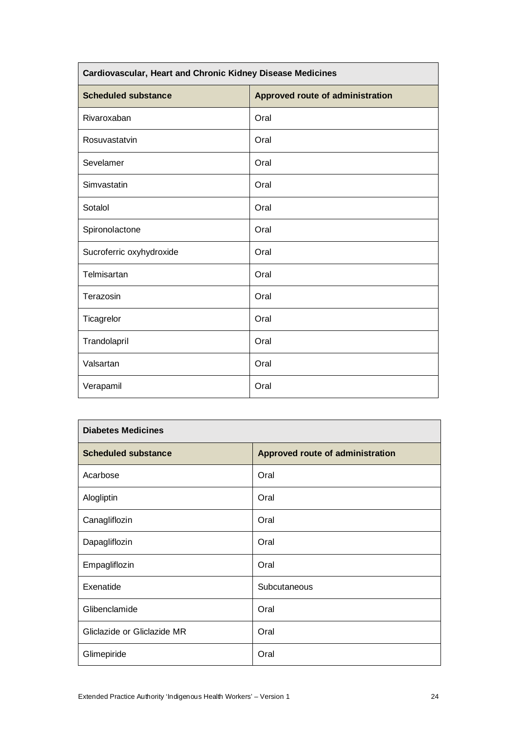| Cardiovascular, Heart and Chronic Kidney Disease Medicines |                                  |
|------------------------------------------------------------|----------------------------------|
| <b>Scheduled substance</b>                                 | Approved route of administration |
| Rivaroxaban                                                | Oral                             |
| Rosuvastatvin                                              | Oral                             |
| Sevelamer                                                  | Oral                             |
| Simvastatin                                                | Oral                             |
| Sotalol                                                    | Oral                             |
| Spironolactone                                             | Oral                             |
| Sucroferric oxyhydroxide                                   | Oral                             |
| Telmisartan                                                | Oral                             |
| Terazosin                                                  | Oral                             |
| Ticagrelor                                                 | Oral                             |
| Trandolapril                                               | Oral                             |
| Valsartan                                                  | Oral                             |
| Verapamil                                                  | Oral                             |

| <b>Diabetes Medicines</b>   |                                  |  |
|-----------------------------|----------------------------------|--|
| <b>Scheduled substance</b>  | Approved route of administration |  |
| Acarbose                    | Oral                             |  |
| Alogliptin                  | Oral                             |  |
| Canagliflozin               | Oral                             |  |
| Dapagliflozin               | Oral                             |  |
| Empagliflozin               | Oral                             |  |
| Exenatide                   | Subcutaneous                     |  |
| Glibenclamide               | Oral                             |  |
| Gliclazide or Gliclazide MR | Oral                             |  |
| Glimepiride                 | Oral                             |  |

 $\overline{\phantom{a}}$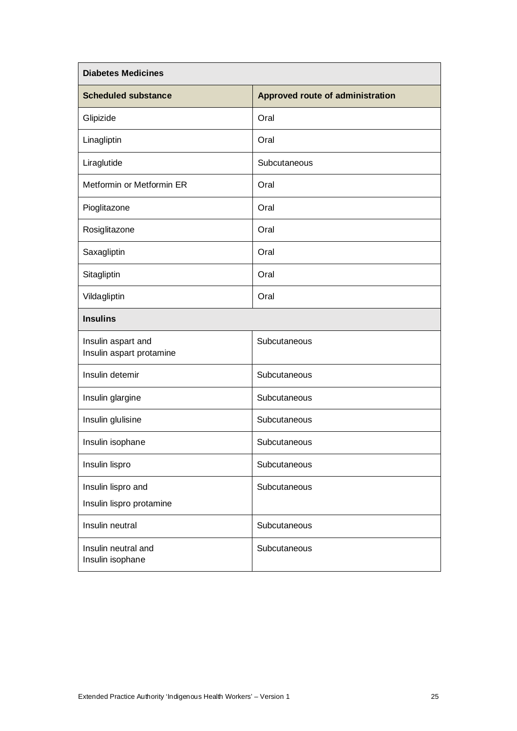| <b>Diabetes Medicines</b>                      |                                  |  |
|------------------------------------------------|----------------------------------|--|
| <b>Scheduled substance</b>                     | Approved route of administration |  |
| Glipizide                                      | Oral                             |  |
| Linagliptin                                    | Oral                             |  |
| Liraglutide                                    | Subcutaneous                     |  |
| Metformin or Metformin ER                      | Oral                             |  |
| Pioglitazone                                   | Oral                             |  |
| Rosiglitazone                                  | Oral                             |  |
| Saxagliptin                                    | Oral                             |  |
| Sitagliptin                                    | Oral                             |  |
| Vildagliptin                                   | Oral                             |  |
| <b>Insulins</b>                                |                                  |  |
| Insulin aspart and<br>Insulin aspart protamine | Subcutaneous                     |  |
| Insulin detemir                                | Subcutaneous                     |  |
| Insulin glargine                               | Subcutaneous                     |  |
| Insulin glulisine                              | Subcutaneous                     |  |
| Insulin isophane                               | Subcutaneous                     |  |
| Insulin lispro                                 | Subcutaneous                     |  |
| Insulin lispro and<br>Insulin lispro protamine | Subcutaneous                     |  |
| Insulin neutral                                | Subcutaneous                     |  |
| Insulin neutral and<br>Insulin isophane        | Subcutaneous                     |  |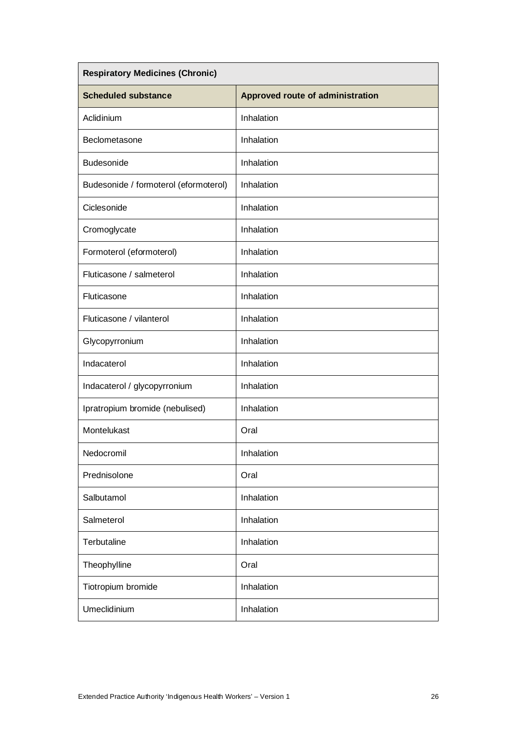| <b>Respiratory Medicines (Chronic)</b> |                                  |  |
|----------------------------------------|----------------------------------|--|
| <b>Scheduled substance</b>             | Approved route of administration |  |
| Aclidinium                             | Inhalation                       |  |
| Beclometasone                          | Inhalation                       |  |
| <b>Budesonide</b>                      | Inhalation                       |  |
| Budesonide / formoterol (eformoterol)  | Inhalation                       |  |
| Ciclesonide                            | Inhalation                       |  |
| Cromoglycate                           | Inhalation                       |  |
| Formoterol (eformoterol)               | Inhalation                       |  |
| Fluticasone / salmeterol               | Inhalation                       |  |
| Fluticasone                            | Inhalation                       |  |
| Fluticasone / vilanterol               | Inhalation                       |  |
| Glycopyrronium                         | Inhalation                       |  |
| Indacaterol                            | Inhalation                       |  |
| Indacaterol / glycopyrronium           | Inhalation                       |  |
| Ipratropium bromide (nebulised)        | Inhalation                       |  |
| Montelukast                            | Oral                             |  |
| Nedocromil                             | Inhalation                       |  |
| Prednisolone                           | Oral                             |  |
| Salbutamol                             | Inhalation                       |  |
| Salmeterol                             | Inhalation                       |  |
| Terbutaline                            | Inhalation                       |  |
| Theophylline                           | Oral                             |  |
| Tiotropium bromide                     | Inhalation                       |  |
| Umeclidinium                           | Inhalation                       |  |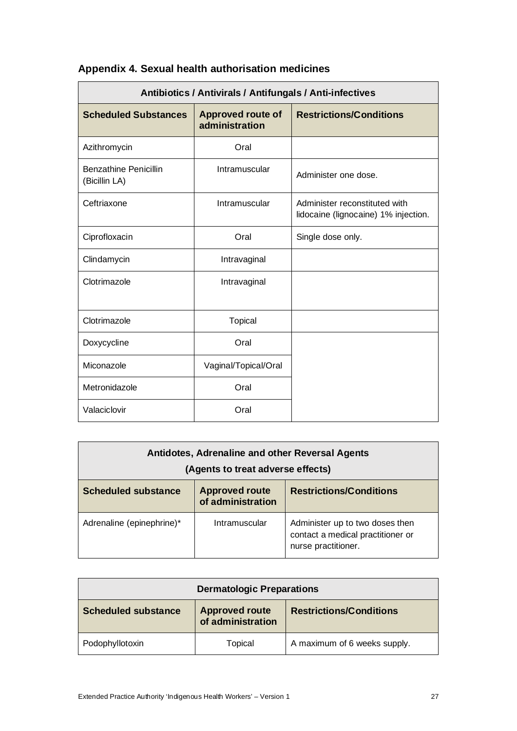| Antibiotics / Antivirals / Antifungals / Anti-infectives |                                            |                                                                       |
|----------------------------------------------------------|--------------------------------------------|-----------------------------------------------------------------------|
| <b>Scheduled Substances</b>                              | <b>Approved route of</b><br>administration | <b>Restrictions/Conditions</b>                                        |
| Azithromycin                                             | Oral                                       |                                                                       |
| <b>Benzathine Penicillin</b><br>(Bicillin LA)            | Intramuscular                              | Administer one dose.                                                  |
| Ceftriaxone                                              | Intramuscular                              | Administer reconstituted with<br>lidocaine (lignocaine) 1% injection. |
| Ciprofloxacin                                            | Oral                                       | Single dose only.                                                     |
| Clindamycin                                              | Intravaginal                               |                                                                       |
| Clotrimazole                                             | Intravaginal                               |                                                                       |
| Clotrimazole                                             | <b>Topical</b>                             |                                                                       |
| Doxycycline                                              | Oral                                       |                                                                       |
| Miconazole                                               | Vaginal/Topical/Oral                       |                                                                       |
| Metronidazole                                            | Oral                                       |                                                                       |
| Valaciclovir                                             | Oral                                       |                                                                       |

## **Appendix 4. Sexual health authorisation medicines**

| Antidotes, Adrenaline and other Reversal Agents<br>(Agents to treat adverse effects) |                                            |                                                                                             |
|--------------------------------------------------------------------------------------|--------------------------------------------|---------------------------------------------------------------------------------------------|
| <b>Scheduled substance</b>                                                           | <b>Approved route</b><br>of administration | <b>Restrictions/Conditions</b>                                                              |
| Adrenaline (epinephrine)*                                                            | Intramuscular                              | Administer up to two doses then<br>contact a medical practitioner or<br>nurse practitioner. |

| <b>Dermatologic Preparations</b> |                                            |                                |
|----------------------------------|--------------------------------------------|--------------------------------|
| <b>Scheduled substance</b>       | <b>Approved route</b><br>of administration | <b>Restrictions/Conditions</b> |
| Podophyllotoxin                  | Topical                                    | A maximum of 6 weeks supply.   |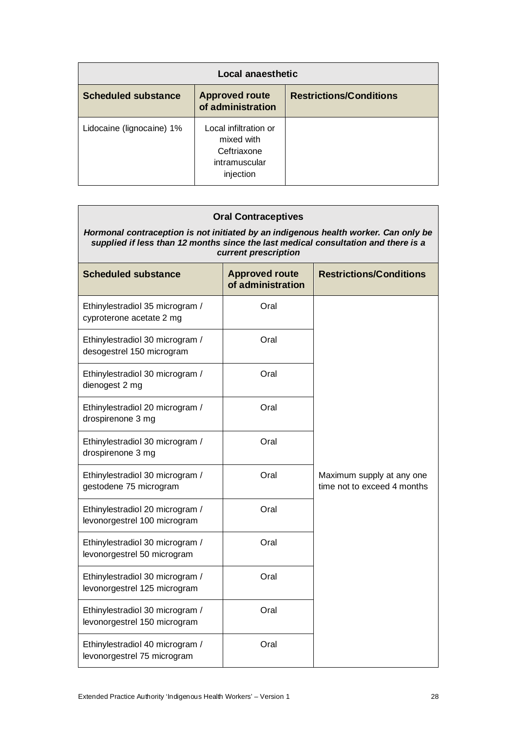| Local anaesthetic          |                                                                                  |                                |
|----------------------------|----------------------------------------------------------------------------------|--------------------------------|
| <b>Scheduled substance</b> | <b>Approved route</b><br>of administration                                       | <b>Restrictions/Conditions</b> |
| Lidocaine (lignocaine) 1%  | Local infiltration or<br>mixed with<br>Ceftriaxone<br>intramuscular<br>injection |                                |

### **Oral Contraceptives**

*Hormonal contraception is not initiated by an indigenous health worker. Can only be supplied if less than 12 months since the last medical consultation and there is a current prescription*

| <b>Scheduled substance</b>                                      | <b>Approved route</b><br>of administration | <b>Restrictions/Conditions</b>                           |
|-----------------------------------------------------------------|--------------------------------------------|----------------------------------------------------------|
| Ethinylestradiol 35 microgram /<br>cyproterone acetate 2 mg     | Oral                                       |                                                          |
| Ethinylestradiol 30 microgram /<br>desogestrel 150 microgram    | Oral                                       |                                                          |
| Ethinylestradiol 30 microgram /<br>dienogest 2 mg               | Oral                                       |                                                          |
| Ethinylestradiol 20 microgram /<br>drospirenone 3 mg            | Oral                                       |                                                          |
| Ethinylestradiol 30 microgram /<br>drospirenone 3 mg            | Oral                                       |                                                          |
| Ethinylestradiol 30 microgram /<br>gestodene 75 microgram       | Oral                                       | Maximum supply at any one<br>time not to exceed 4 months |
| Ethinylestradiol 20 microgram /<br>levonorgestrel 100 microgram | Oral                                       |                                                          |
| Ethinylestradiol 30 microgram /<br>levonorgestrel 50 microgram  | Oral                                       |                                                          |
| Ethinylestradiol 30 microgram /<br>levonorgestrel 125 microgram | Oral                                       |                                                          |
| Ethinylestradiol 30 microgram /<br>levonorgestrel 150 microgram | Oral                                       |                                                          |
| Ethinylestradiol 40 microgram /<br>levonorgestrel 75 microgram  | Oral                                       |                                                          |